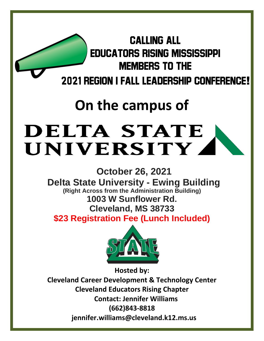### Calling all Educators Rising Mississippi MEMBERS TO THE 2021 Region I Fall Leadership Conference!

## **On the campus of**

# **DELTA STATE** UNIVERSITY A

 **October 26, 2021 Delta State University - Ewing Building (Right Across from the Administration Building) 1003 W Sunflower Rd. Cleveland, MS 38733**

**\$23 Registration Fee (Lunch Included)**



**Hosted by: Cleveland Career Development & Technology Center Cleveland Educators Rising Chapter Contact: Jennifer Williams (662)843-8818 jennifer.williams@cleveland.k12.ms.us**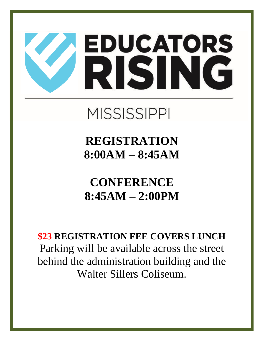

## **MISSISSIPPI**

#### **REGISTRATION 8:00AM – 8:45AM**

### **CONFERENCE 8:45AM – 2:00PM**

**\$23 REGISTRATION FEE COVERS LUNCH**  Parking will be available across the street behind the administration building and the Walter Sillers Coliseum.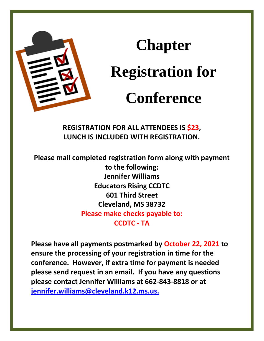

# **Chapter Registration for Conference**

**REGISTRATION FOR ALL ATTENDEES IS \$23, LUNCH IS INCLUDED WITH REGISTRATION.**

**Please mail completed registration form along with payment to the following: Jennifer Williams Educators Rising CCDTC 601 Third Street Cleveland, MS 38732 Please make checks payable to: CCDTC - TA**

**Please have all payments postmarked by October 22, 2021 to ensure the processing of your registration in time for the conference. However, if extra time for payment is needed please send request in an email. If you have any questions please contact Jennifer Williams at 662-843-8818 or at [jennifer.williams@cleveland.k12.ms.us.](mailto:jennifer.williams@cleveland.k12.ms.us)**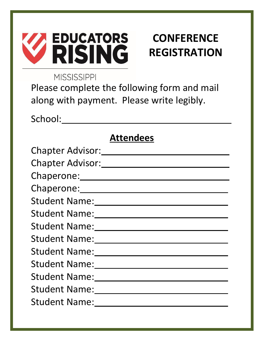

#### **CONFERENCE REGISTRATION**

#### **MISSISSIPPI**

Please complete the following form and mail along with payment. Please write legibly.

School:

#### **Attendees**